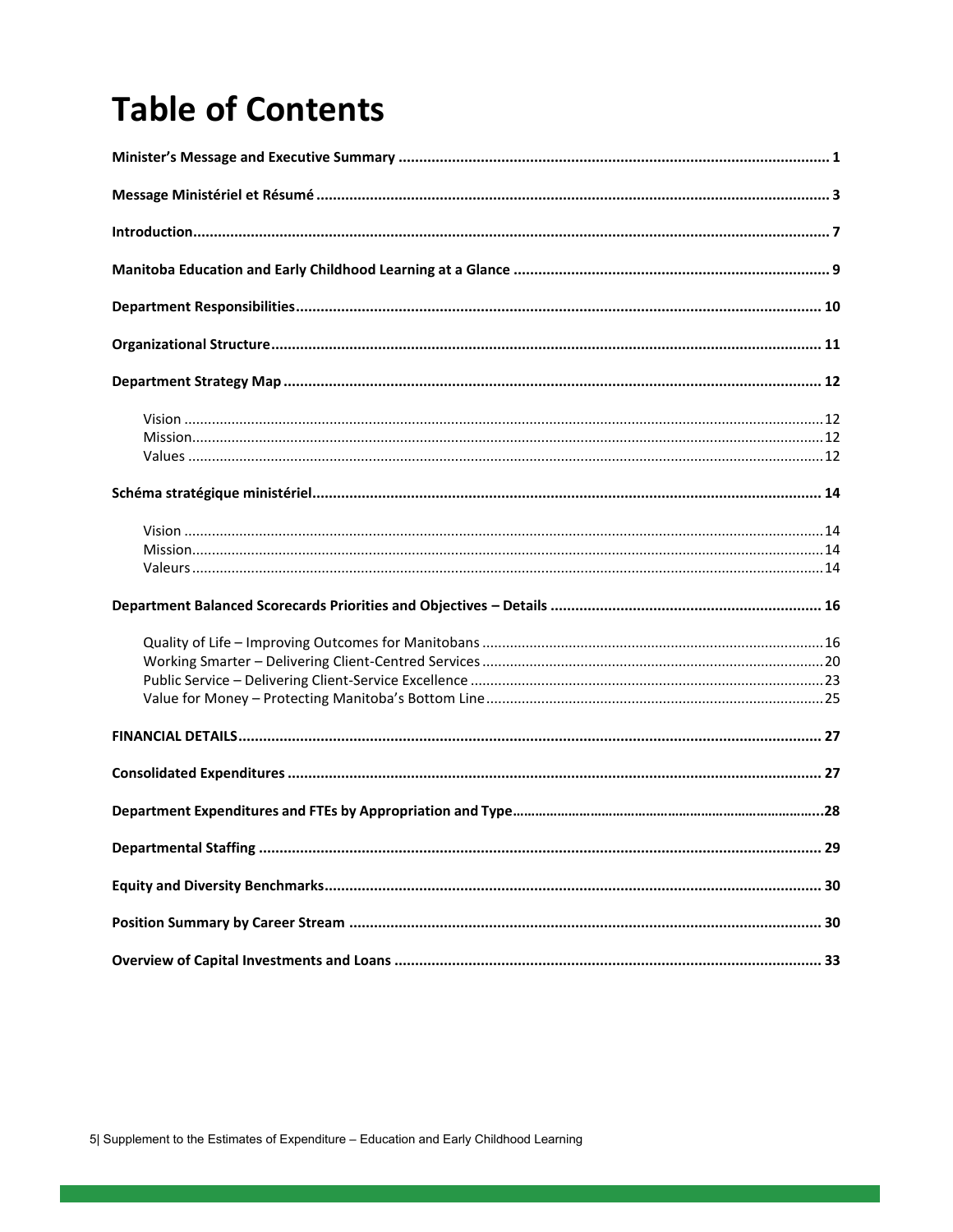## **Table of Contents**

| 29 |
|----|
|    |
|    |
|    |